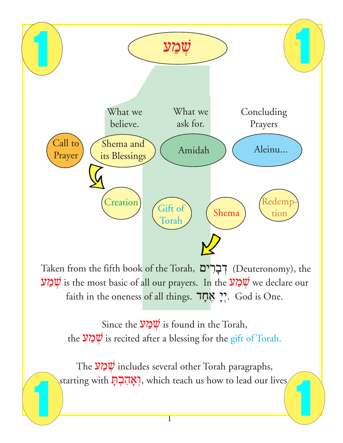

Taken from the fifth book of the Torah, רְבְרִים (Deuteronomy), the שְׁמַע is the most basic of all our prayers. In the  $\mathcal{W}$ כַאַע $\psi$  we declare our faith in the oneness of all things. אֲקָד

Since the  $\mathcal{Y} \sim \psi$  is found in the Torah, the  $\mathcal{V} \sim \mathcal{V}$  is recited after a blessing for the gift of Torah.

The  $\mathbf{\mathcal{W}}$  includes several other Torah paragraphs, starting with **יְאֲהַבְהָ**, which teach us how to lead our lives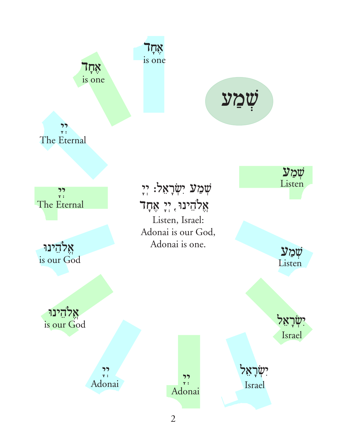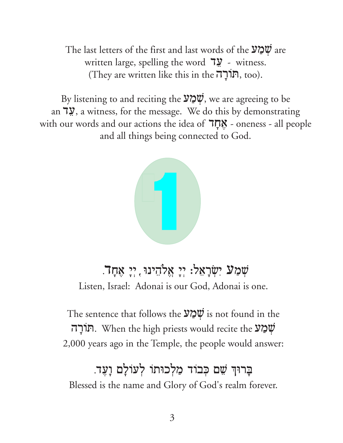The last letters of the first and last words of the  $\mathcal{V} \subseteq \mathcal{V}$  are written large, spelling the word  $\frac{100}{20}$  - witness. (They are written like this in the תְוֹרָה, too).

By listening to and reciting the  $\mathcal{Y} \subseteq \mathcal{Y}$ , we are agreeing to be an 7.9, a witness, for the message. We do this by demonstrating with our words and our actions the idea of  $7\pi$ . - oneness - all people and all things being connected to God.



### שִׁמַע יִשְׂרָאֵל: יִי אֲלֹהֶינוּ, יִי אִחָד. Listen, Israel: Adonai is our God, Adonai is one.

The sentence that follows the  $\mathcal{V} \sim \mathcal{V}$  is not found in the תּוֹרָה. When the high priests would recite the  $\mathcal{V}\mathcal{Q}\mathcal{W}$ 2,000 years ago in the Temple, the people would answer:

## בַרוּךְ שֵׁם כִּבוֹד מַלְכוּתוֹ לְעוֹלָם וָעֶד. Blessed is the name and Glory of God's realm forever.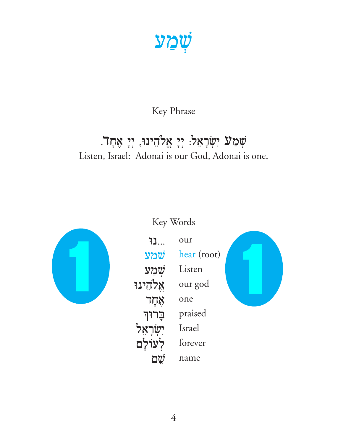שׁמַע

#### Key Phrase

### שְׁמַע יִשְׂרָאֵל: יְיָ אֱלֹהֵינוּ, יְיָ אֶחָד. Listen, Israel: Adonai is our God, Adonai is one.



#### Key Words

| [               | 011 r       |  |
|-----------------|-------------|--|
| שמע             | hear (root) |  |
| שַׁמַע          | Listen      |  |
| אֵלֹהֵינוּ      | our god     |  |
| אָחָד           | one         |  |
| <b>ְבַרוּךְ</b> | praised     |  |
| יִשָּׂרָאָל     | Israel      |  |
| לִעוֹלַם        | forever     |  |
|                 | name        |  |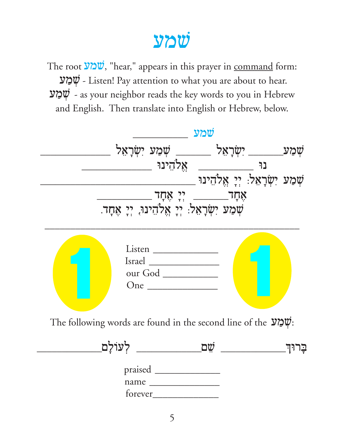# שמע

The root  $\ddot{v}$ '', "hear," appears in this prayer in command form: שְמַע - Listen! Pay attention to what you are about to hear. שמע - as your neighbor reads the key words to you in Hebrew and English. Then translate into English or Hebrew, below.

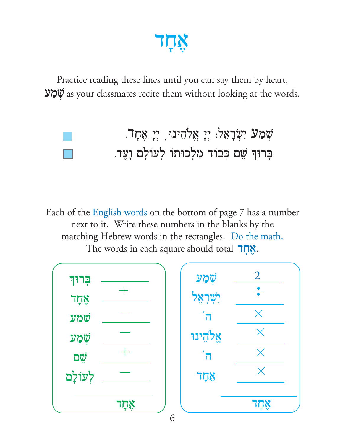

Practice reading these lines until you can say them by heart. מַמַע $\ddot{\psi}$  as your classmates recite them without looking at the words.

## ָשְׁמַע יִשְׂרָאֵל: יְיָ אֱלֹהֵינוּ, יְיָ אֶחָד. בָרוּךְ שֵׁם כִּבוֹד מַלְכוּתוֹ לְעוֹלָם וָעֵד.

Each of the English words on the bottom of page 7 has a number next to it. Write these numbers in the blanks by the matching Hebrew words in the rectangles. Do the math. The words in each square should total 77?.

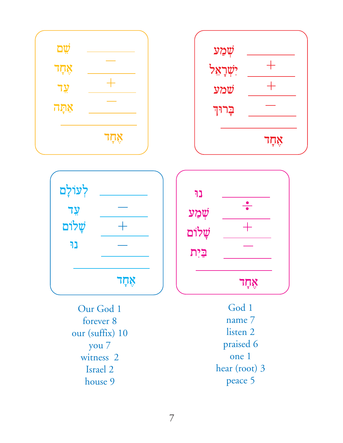





נו  $\frac{\bullet}{\bullet}$ שְׁמַע שלום $\ddot{\psi}$ בַיִת ንঢ়়া

Our God 1 forever 8 our (suffix) 10 you 7 witness 2 Israel 2 house 9

God 1 name 7 listen 2 praised 6 one 1 hear (root) 3 peace 5